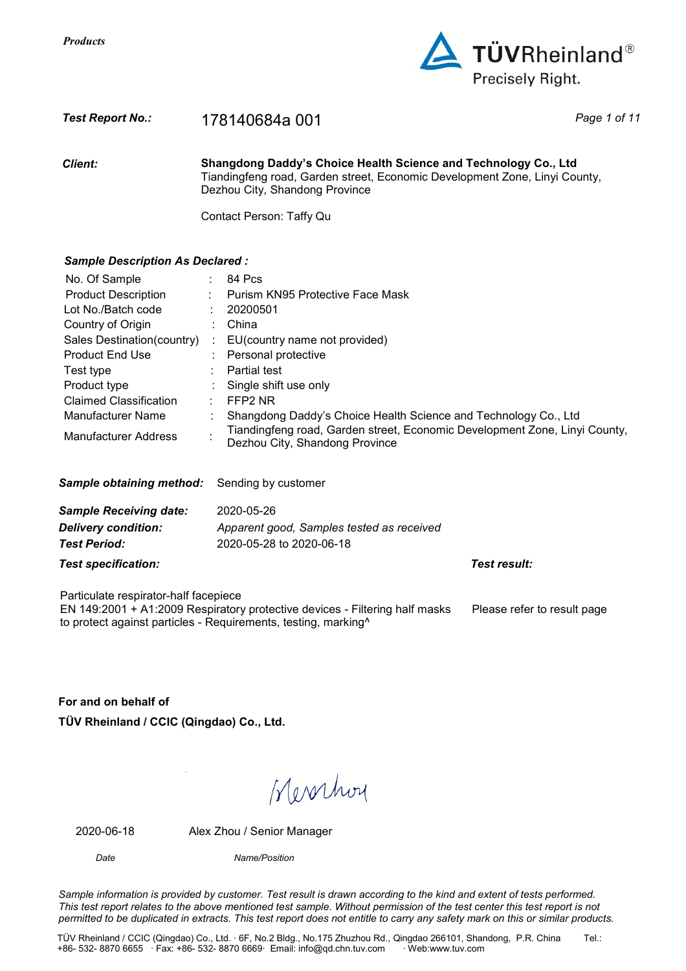

## *Test Report No.:* 178140684a 001 *Page 1 of 11*

*Client:* **Shangdong Daddy's Choice Health Science and Technology Co., Ltd**  Tiandingfeng road, Garden street, Economic Development Zone, Linyi County, Dezhou City, Shandong Province

Contact Person: Taffy Qu

## *Sample Description As Declared :*

| No. Of Sample                 |    | 84 Pcs                                                                                                       |
|-------------------------------|----|--------------------------------------------------------------------------------------------------------------|
| <b>Product Description</b>    | ÷  | Purism KN95 Protective Face Mask                                                                             |
| Lot No./Batch code            | ÷. | 20200501                                                                                                     |
| Country of Origin             |    | China                                                                                                        |
| Sales Destination(country)    | ÷  | EU(country name not provided)                                                                                |
| <b>Product End Use</b>        |    | Personal protective                                                                                          |
| Test type                     |    | <b>Partial test</b>                                                                                          |
| Product type                  |    | Single shift use only                                                                                        |
| Claimed Classification        |    | FFP2 NR                                                                                                      |
| Manufacturer Name             |    | Shangdong Daddy's Choice Health Science and Technology Co., Ltd                                              |
| Manufacturer Address          |    | Tiandingfeng road, Garden street, Economic Development Zone, Linyi County,<br>Dezhou City, Shandong Province |
| Sample obtaining method:      |    | Sending by customer                                                                                          |
| <b>Sample Receiving date:</b> |    | 2020-05-26                                                                                                   |
| <b>Delivery condition:</b>    |    | Apparent good, Samples tested as received                                                                    |
| <b>Test Period:</b>           |    | 2020-05-28 to 2020-06-18                                                                                     |

*Test specification: Test result:*

Particulate respirator-half facepiece

EN 149:2001 + A1:2009 Respiratory protective devices - Filtering half masks to protect against particles - Requirements, testing, marking^ Please refer to result page

**For and on behalf of TÜV Rheinland / CCIC (Qingdao) Co., Ltd.** 

Werchoy

2020-06-18 Alex Zhou / Senior Manager

*Date Name/Position*

*Sample information is provided by customer. Test result is drawn according to the kind and extent of tests performed. This test report relates to the above mentioned test sample. Without permission of the test center this test report is not permitted to be duplicated in extracts. This test report does not entitle to carry any safety mark on this or similar products.*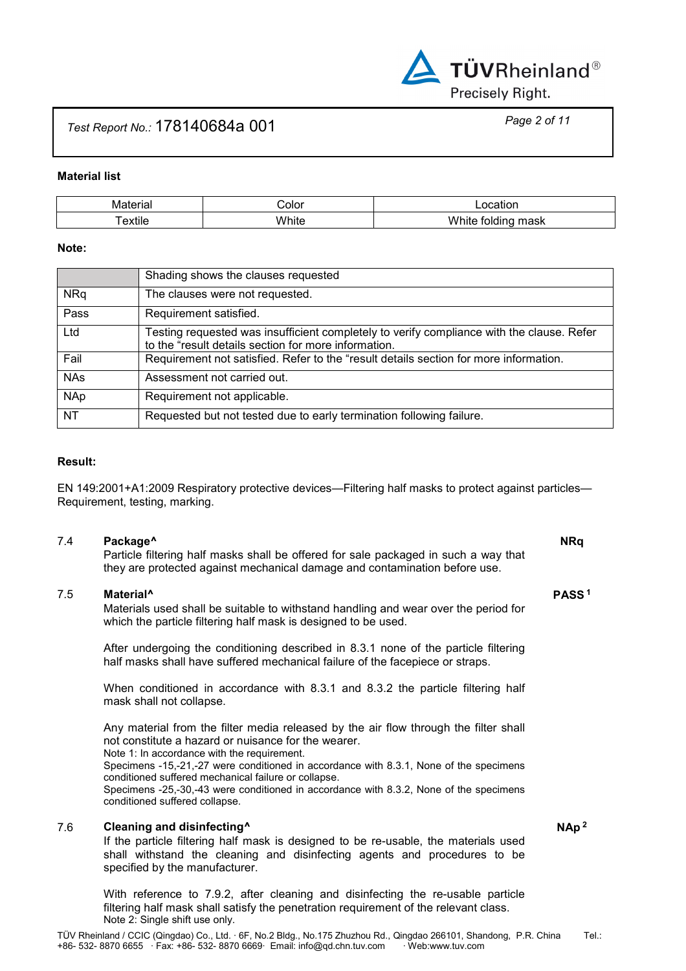

# *Test Report No.:* 178140684a 001 *Page 2 of 11*

## **Material list**

| .<br>M        | ∶∩l∩r   | uor                                     |
|---------------|---------|-----------------------------------------|
| .<br>∩vt<br>ш | .<br>-- | $\sim$ $\sim$<br>w<br>----<br>mask<br>ш |

## **Note:**

|            | Shading shows the clauses requested                                                                                                               |
|------------|---------------------------------------------------------------------------------------------------------------------------------------------------|
| <b>NRq</b> | The clauses were not requested.                                                                                                                   |
| Pass       | Requirement satisfied.                                                                                                                            |
| Ltd        | Testing requested was insufficient completely to verify compliance with the clause. Refer<br>to the "result details section for more information. |
| Fail       | Requirement not satisfied. Refer to the "result details section for more information.                                                             |
| <b>NAs</b> | Assessment not carried out.                                                                                                                       |
| <b>NAp</b> | Requirement not applicable.                                                                                                                       |
| <b>NT</b>  | Requested but not tested due to early termination following failure.                                                                              |

## **Result:**

EN 149:2001+A1:2009 Respiratory protective devices—Filtering half masks to protect against particles— Requirement, testing, marking.

7.4 **Package^ NRq** Particle filtering half masks shall be offered for sale packaged in such a way that they are protected against mechanical damage and contamination before use.

## 7.5 **Material^ PASS <sup>1</sup>**

 Materials used shall be suitable to withstand handling and wear over the period for which the particle filtering half mask is designed to be used.

After undergoing the conditioning described in 8.3.1 none of the particle filtering half masks shall have suffered mechanical failure of the facepiece or straps.

When conditioned in accordance with 8.3.1 and 8.3.2 the particle filtering half mask shall not collapse.

Any material from the filter media released by the air flow through the filter shall not constitute a hazard or nuisance for the wearer.

Note 1: In accordance with the requirement.

Specimens -15,-21,-27 were conditioned in accordance with 8.3.1, None of the specimens conditioned suffered mechanical failure or collapse.

Specimens -25,-30,-43 were conditioned in accordance with 8.3.2, None of the specimens conditioned suffered collapse.

## 7.6 **Cleaning and disinfecting^ NAp <sup>2</sup>**

 If the particle filtering half mask is designed to be re-usable, the materials used shall withstand the cleaning and disinfecting agents and procedures to be specified by the manufacturer.

With reference to 7.9.2, after cleaning and disinfecting the re-usable particle filtering half mask shall satisfy the penetration requirement of the relevant class. Note 2: Single shift use only.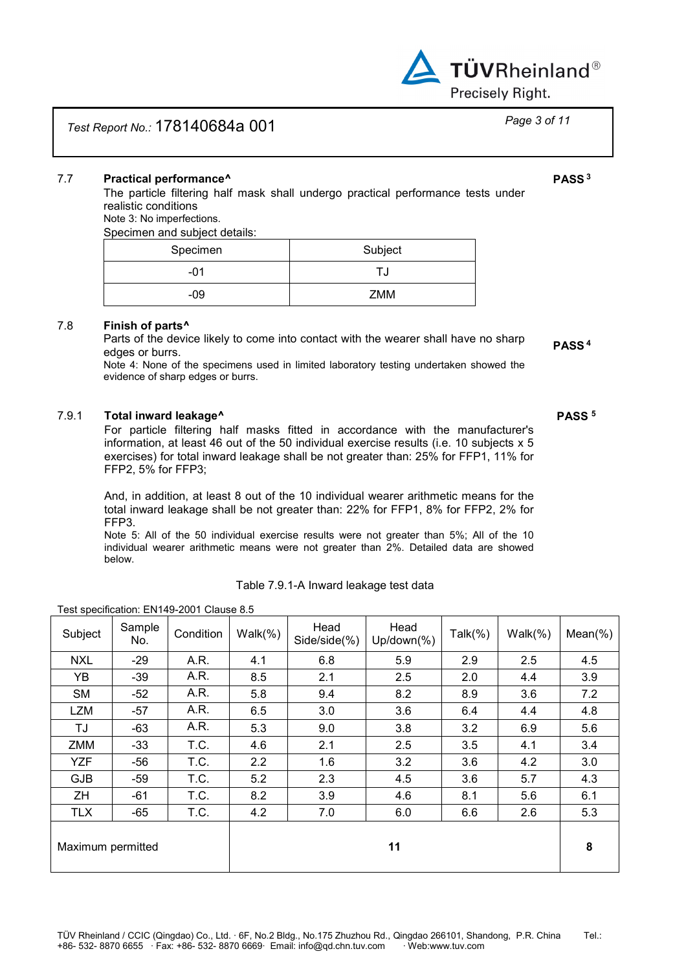

# *Test Report No.:* 178140684a 001 *Page 3 of 11*

## 7.7 **Practical performance^ PASS <sup>3</sup>**

 The particle filtering half mask shall undergo practical performance tests under realistic conditions

Note 3: No imperfections.

Specimen and subject details:

| Specimen | Subject |
|----------|---------|
| -01      |         |
| -09      | ZMM     |

## 7.8 **Finish of parts^**

Parts of the device likely to come into contact with the wearer shall have no sharp edges or burrs. **PASS <sup>4</sup>**

Note 4: None of the specimens used in limited laboratory testing undertaken showed the evidence of sharp edges or burrs.

## 7.9.1 **Total inward leakage^ PASS <sup>5</sup>**

 For particle filtering half masks fitted in accordance with the manufacturer's information, at least 46 out of the 50 individual exercise results (i.e. 10 subjects x 5 exercises) for total inward leakage shall be not greater than: 25% for FFP1, 11% for FFP2, 5% for FFP3;

 And, in addition, at least 8 out of the 10 individual wearer arithmetic means for the total inward leakage shall be not greater than: 22% for FFP1, 8% for FFP2, 2% for FFP3.

Note 5: All of the 50 individual exercise results were not greater than 5%; All of the 10 individual wearer arithmetic means were not greater than 2%. Detailed data are showed below.

| Table 7.9.1-A Inward leakage test data |  |
|----------------------------------------|--|
|----------------------------------------|--|

| Subject           | Sample<br>No. | Condition | $Walk(\%)$ | Head<br>Side/side(%) | Head<br>$Up/down(\% )$ | Talk $(\%)$ | Walk(%) | $Mean(\%)$ |
|-------------------|---------------|-----------|------------|----------------------|------------------------|-------------|---------|------------|
| <b>NXL</b>        | $-29$         | A.R.      | 4.1        | 6.8                  | 5.9                    | 2.9         | 2.5     | 4.5        |
| YB                | $-39$         | A.R.      | 8.5        | 2.1                  | 2.5                    | 2.0         | 4.4     | 3.9        |
| <b>SM</b>         | $-52$         | A.R.      | 5.8        | 9.4                  | 8.2                    | 8.9         | 3.6     | 7.2        |
| <b>LZM</b>        | $-57$         | A.R.      | 6.5        | 3.0                  | 3.6                    | 6.4         | 4.4     | 4.8        |
| TJ                | $-63$         | A.R.      | 5.3        | 9.0                  | 3.8                    | 3.2         | 6.9     | 5.6        |
| ZMM               | $-33$         | T.C.      | 4.6        | 2.1                  | 2.5                    | 3.5         | 4.1     | 3.4        |
| <b>YZF</b>        | $-56$         | T.C.      | 2.2        | 1.6                  | 3.2                    | 3.6         | 4.2     | 3.0        |
| <b>GJB</b>        | $-59$         | T.C.      | 5.2        | 2.3                  | 4.5                    | 3.6         | 5.7     | 4.3        |
| ZH                | -61           | T.C.      | 8.2        | 3.9                  | 4.6                    | 8.1         | 5.6     | 6.1        |
| <b>TLX</b>        | $-65$         | T.C.      | 4.2        | 7.0                  | 6.0                    | 6.6         | 2.6     | 5.3        |
| Maximum permitted |               |           |            |                      | 11                     |             |         | 8          |

## Test specification: EN149-2001 Clause 8.5

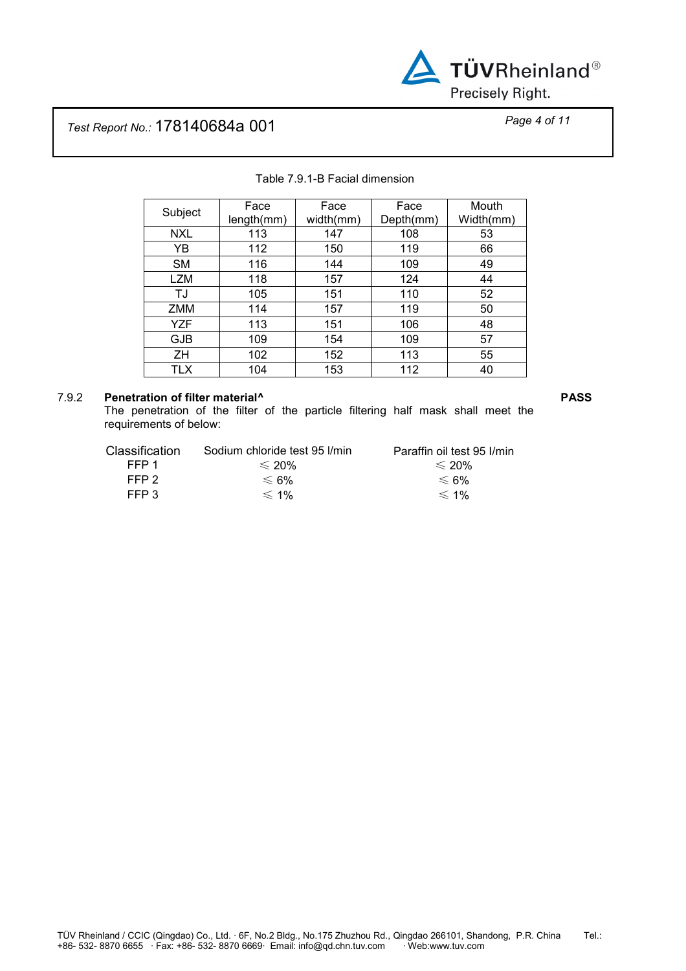

# *Test Report No.:* 178140684a 001 *Page 4 of 11*

| Subject    | Face       | Face      | Face      | Mouth     |
|------------|------------|-----------|-----------|-----------|
|            | length(mm) | width(mm) | Depth(mm) | Width(mm) |
| <b>NXL</b> | 113        | 147       | 108       | 53        |
| YΒ         | 112        | 150       | 119       | 66        |
| SM         | 116        | 144       | 109       | 49        |
| LZM        | 118        | 157       | 124       | 44        |
| TJ         | 105        | 151       | 110       | 52        |
| ZMM        | 114        | 157       | 119       | 50        |
| YZF        | 113        | 151       | 106       | 48        |
| <b>GJB</b> | 109        | 154       | 109       | 57        |
| ΖH         | 102        | 152       | 113       | 55        |
| <b>TLX</b> | 104        | 153       | 112       | 40        |

## Table 7.9.1-B Facial dimension

## 7.9.2 **Penetration of filter material^ PASS**

 The penetration of the filter of the particle filtering half mask shall meet the requirements of below:

| <b>Classification</b> | Sodium chloride test 95 l/min | Paraffin oil test 95 I/min |
|-----------------------|-------------------------------|----------------------------|
| FFP 1                 | $\leqslant$ 20%               | $\leqslant$ 20%            |
| FFP 2                 | $≤$ 6%                        | $≤$ 6%                     |
| FFP 3                 | $\leq 1\%$                    | $\leq 1\%$                 |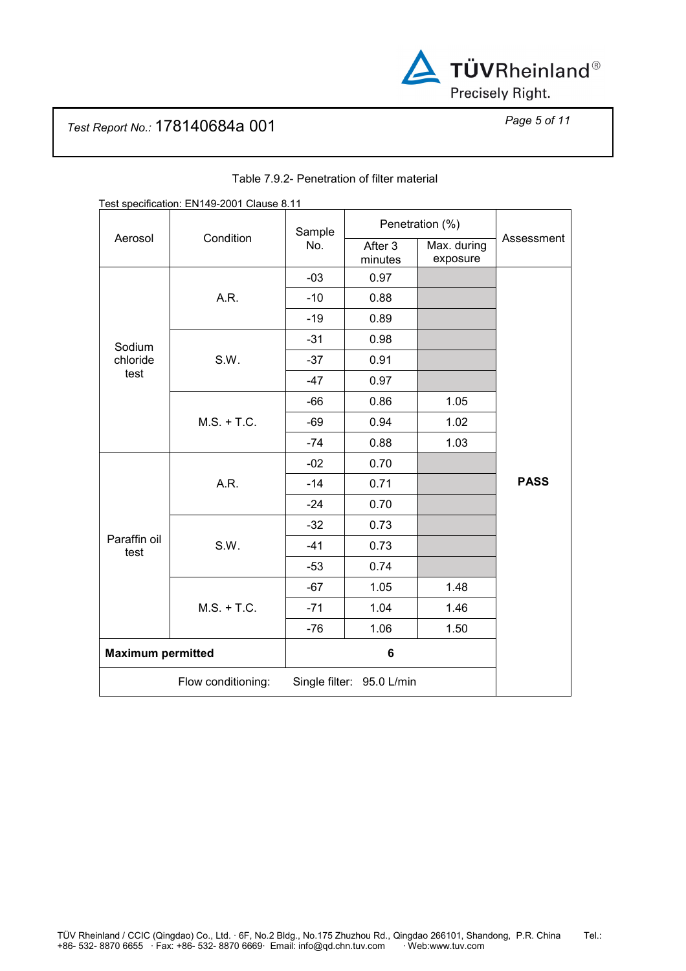

# *Test Report No.:* 178140684a 001 *Page 5 of 11*

| Test specification: EN149-2001 Clause 8.11      |               |        |                    |                         |             |
|-------------------------------------------------|---------------|--------|--------------------|-------------------------|-------------|
|                                                 | Condition     | Sample | Penetration (%)    |                         |             |
| Aerosol                                         |               | No.    | After 3<br>minutes | Max. during<br>exposure | Assessment  |
|                                                 |               | $-03$  | 0.97               |                         |             |
|                                                 | A.R.          | $-10$  | 0.88               |                         |             |
|                                                 |               | $-19$  | 0.89               |                         |             |
| Sodium                                          |               | $-31$  | 0.98               |                         |             |
| chloride                                        | S.W.          | $-37$  | 0.91               |                         |             |
| test                                            |               | $-47$  | 0.97               |                         |             |
|                                                 |               | $-66$  | 0.86               | 1.05                    |             |
|                                                 | $M.S. + T.C.$ | $-69$  | 0.94               | 1.02                    |             |
|                                                 |               | $-74$  | 0.88               | 1.03                    |             |
|                                                 |               | $-02$  | 0.70               |                         |             |
|                                                 | A.R.          | $-14$  | 0.71               |                         | <b>PASS</b> |
|                                                 |               | $-24$  | 0.70               |                         |             |
|                                                 |               | $-32$  | 0.73               |                         |             |
| Paraffin oil<br>test                            | S.W.          | $-41$  | 0.73               |                         |             |
|                                                 |               | $-53$  | 0.74               |                         |             |
|                                                 |               | $-67$  | 1.05               | 1.48                    |             |
|                                                 | $M.S. + T.C.$ | $-71$  | 1.04               | 1.46                    |             |
|                                                 |               | $-76$  | 1.06               | 1.50                    |             |
| <b>Maximum permitted</b>                        |               |        | 6                  |                         |             |
| Flow conditioning:<br>Single filter: 95.0 L/min |               |        |                    |                         |             |

## Table 7.9.2- Penetration of filter material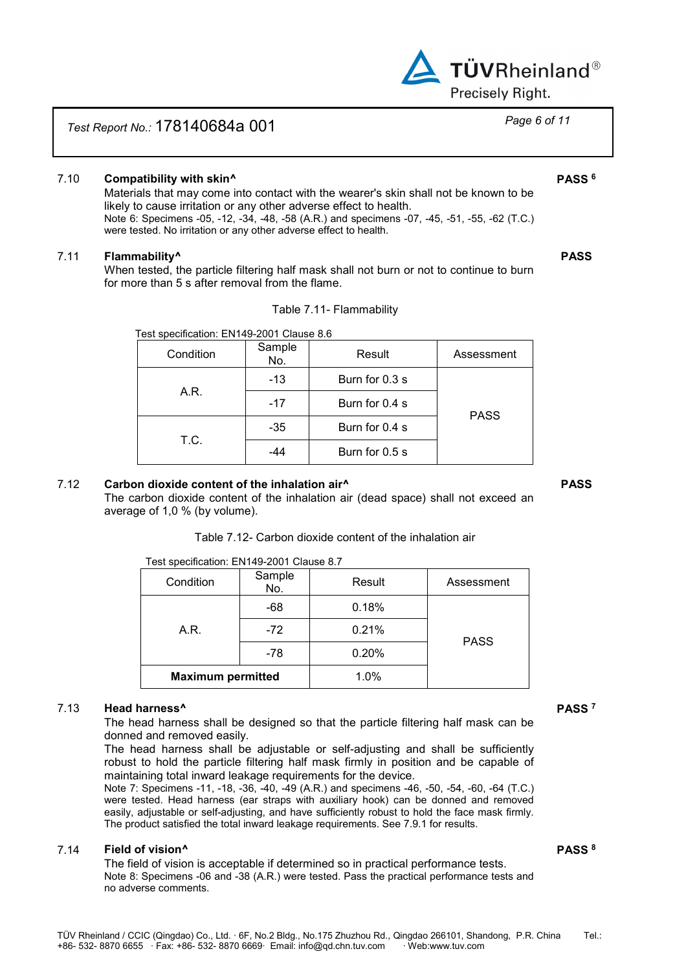

## *Test Report No.:* 178140684a 001 *Page 6 of 11*

## 7.10 **Compatibility with skin^ PASS <sup>6</sup>**

 Materials that may come into contact with the wearer's skin shall not be known to be likely to cause irritation or any other adverse effect to health. Note 6: Specimens -05, -12, -34, -48, -58 (A.R.) and specimens -07, -45, -51, -55, -62 (T.C.) were tested. No irritation or any other adverse effect to health.

## 7.11 **Flammability^ PASS**

 When tested, the particle filtering half mask shall not burn or not to continue to burn for more than 5 s after removal from the flame.

|  | Table 7.11- Flammability |
|--|--------------------------|
|--|--------------------------|

| $1800$ . Op our model of $111110$ and $001$ orders of $0.0$ |               |                |             |  |
|-------------------------------------------------------------|---------------|----------------|-------------|--|
| Condition                                                   | Sample<br>No. | Result         | Assessment  |  |
|                                                             | $-13$         | Burn for 0.3 s |             |  |
| A.R.                                                        | $-17$         | Burn for 0.4 s |             |  |
| T.C.                                                        | $-35$         | Burn for 0.4 s | <b>PASS</b> |  |
|                                                             | -44           | Burn for 0.5 s |             |  |
|                                                             |               |                |             |  |

Test specification: EN149-2001 Clause 8.6

## 7.12 **Carbon dioxide content of the inhalation air^ PASS**

 The carbon dioxide content of the inhalation air (dead space) shall not exceed an average of 1,0 % (by volume).

## Table 7.12- Carbon dioxide content of the inhalation air

Test specification: EN149-2001 Clause 8.7

| Condition                | Sample<br>No. | Result | Assessment  |
|--------------------------|---------------|--------|-------------|
|                          | $-68$         | 0.18%  |             |
| A.R.                     | $-72$         | 0.21%  | <b>PASS</b> |
|                          | -78           | 0.20%  |             |
| <b>Maximum permitted</b> |               | 1.0%   |             |

### 7.13 **Head harness^ PASS <sup>7</sup>**

 The head harness shall be designed so that the particle filtering half mask can be donned and removed easily.

The head harness shall be adjustable or self-adjusting and shall be sufficiently robust to hold the particle filtering half mask firmly in position and be capable of maintaining total inward leakage requirements for the device.

Note 7: Specimens -11, -18, -36, -40, -49 (A.R.) and specimens -46, -50, -54, -60, -64 (T.C.) were tested. Head harness (ear straps with auxiliary hook) can be donned and removed easily, adjustable or self-adjusting, and have sufficiently robust to hold the face mask firmly. The product satisfied the total inward leakage requirements. See 7.9.1 for results.

## 7.14 **Field of vision^ PASS <sup>8</sup>**

 The field of vision is acceptable if determined so in practical performance tests. Note 8: Specimens -06 and -38 (A.R.) were tested. Pass the practical performance tests and no adverse comments.

TÜV Rheinland / CCIC (Qingdao) Co., Ltd. ∙ 6F, No.2 Bldg., No.175 Zhuzhou Rd., Qingdao 266101, Shandong, P.R. China Tel.:<br>+86- 532- 8870 6655 · Fax: +86- 532- 8870 6669· Email: info@qd.chn.tuv.com · Web:www.tuv.com +86- 532- 8870 6655 · Fax: +86- 532- 8870 6669· Email: info@qd.chn.tuv.com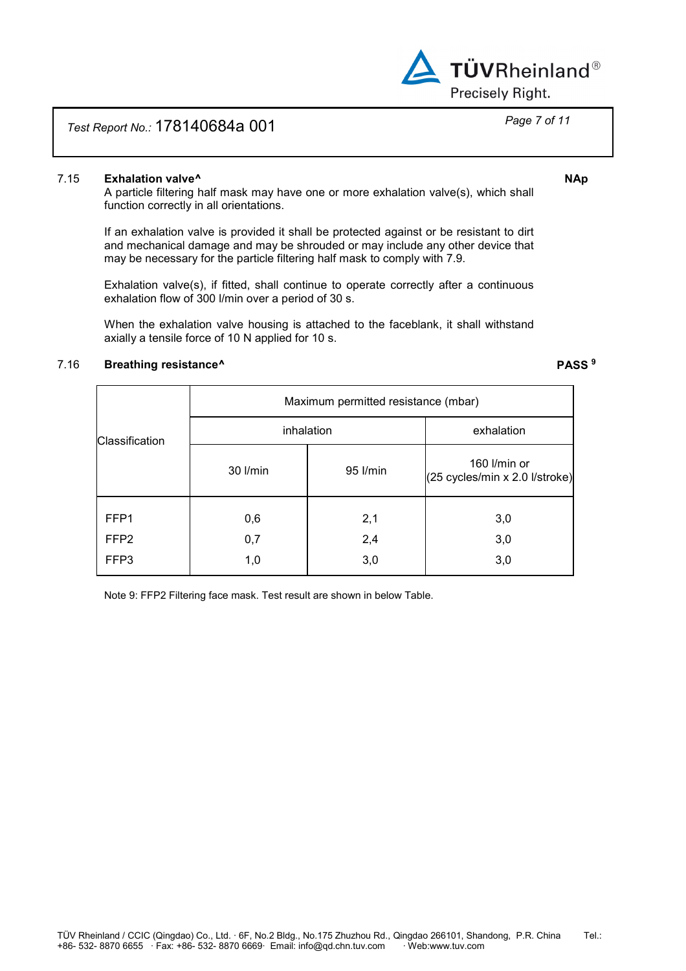

## 7.15 **Exhalation valve^ NAp**

 A particle filtering half mask may have one or more exhalation valve(s), which shall function correctly in all orientations.

If an exhalation valve is provided it shall be protected against or be resistant to dirt and mechanical damage and may be shrouded or may include any other device that may be necessary for the particle filtering half mask to comply with 7.9.

Exhalation valve(s), if fitted, shall continue to operate correctly after a continuous exhalation flow of 300 l/min over a period of 30 s.

When the exhalation valve housing is attached to the faceblank, it shall withstand axially a tensile force of 10 N applied for 10 s.

## 7.16 **Breathing resistance^ PASS <sup>9</sup>**

|                  | Maximum permitted resistance (mbar) |            |                                                |  |  |  |
|------------------|-------------------------------------|------------|------------------------------------------------|--|--|--|
| Classification   | inhalation                          | exhalation |                                                |  |  |  |
|                  | 30 l/min                            | 95 l/min   | 160 l/min or<br>(25 cycles/min x 2.0 l/stroke) |  |  |  |
| FFP1             | 0,6                                 | 2,1        | 3,0                                            |  |  |  |
| FFP <sub>2</sub> | 0,7                                 | 2,4        | 3,0                                            |  |  |  |
| FFP3             | 1,0                                 | 3,0        | 3,0                                            |  |  |  |

Note 9: FFP2 Filtering face mask. Test result are shown in below Table.

**TÜVRheinland®** 

Precisely Right.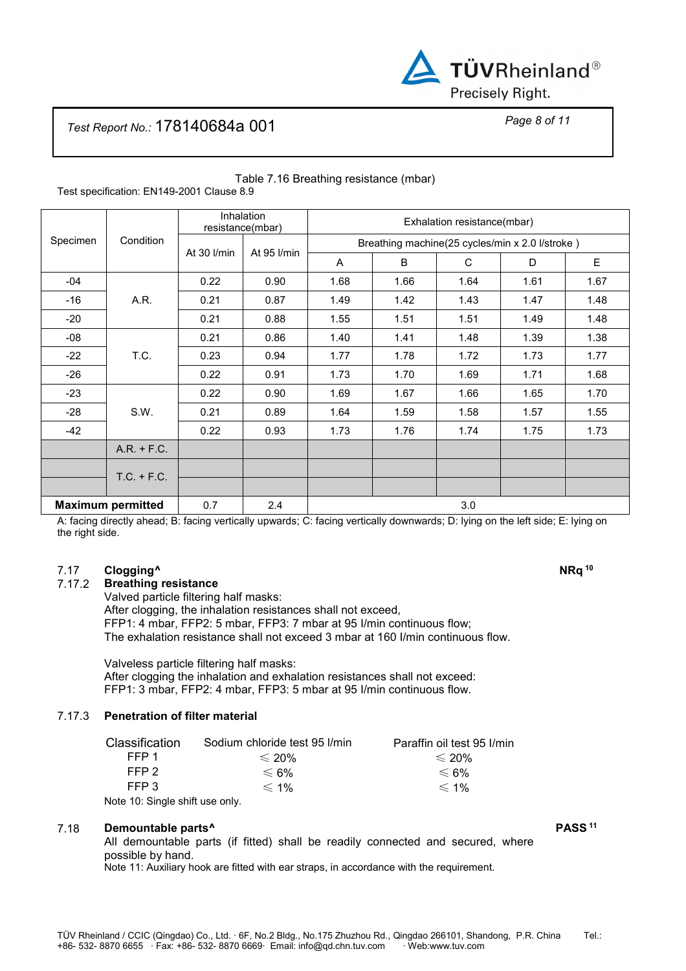

# *Test Report No.:* 178140684a 001 *Page 8 of 11*

| Specimen                 | Condition     | <b>Inhalation</b><br>resistance(mbar) |             | Exhalation resistance(mbar)                     |      |      |      |      |
|--------------------------|---------------|---------------------------------------|-------------|-------------------------------------------------|------|------|------|------|
|                          |               | At 30 I/min                           | At 95 l/min | Breathing machine(25 cycles/min x 2.0 l/stroke) |      |      |      |      |
|                          |               |                                       |             | A                                               | B    | C    | D    | E    |
| $-04$                    | A.R.          | 0.22                                  | 0.90        | 1.68                                            | 1.66 | 1.64 | 1.61 | 1.67 |
| $-16$                    |               | 0.21                                  | 0.87        | 1.49                                            | 1.42 | 1.43 | 1.47 | 1.48 |
| $-20$                    |               | 0.21                                  | 0.88        | 1.55                                            | 1.51 | 1.51 | 1.49 | 1.48 |
| $-08$                    | T.C.          | 0.21                                  | 0.86        | 1.40                                            | 1.41 | 1.48 | 1.39 | 1.38 |
| $-22$                    |               | 0.23                                  | 0.94        | 1.77                                            | 1.78 | 1.72 | 1.73 | 1.77 |
| $-26$                    |               | 0.22                                  | 0.91        | 1.73                                            | 1.70 | 1.69 | 1.71 | 1.68 |
| $-23$                    | S.W.          | 0.22                                  | 0.90        | 1.69                                            | 1.67 | 1.66 | 1.65 | 1.70 |
| $-28$                    |               | 0.21                                  | 0.89        | 1.64                                            | 1.59 | 1.58 | 1.57 | 1.55 |
| $-42$                    |               | 0.22                                  | 0.93        | 1.73                                            | 1.76 | 1.74 | 1.75 | 1.73 |
|                          | $A.R. + F.C.$ |                                       |             |                                                 |      |      |      |      |
|                          | $T.C. + F.C.$ |                                       |             |                                                 |      |      |      |      |
|                          |               |                                       |             |                                                 |      |      |      |      |
| <b>Maximum permitted</b> |               | 0.7                                   | 2.4         | 3.0                                             |      |      |      |      |

### Table 7.16 Breathing resistance (mbar) Test specification: EN149-2001 Clause 8.9

A: facing directly ahead; B: facing vertically upwards; C: facing vertically downwards; D: lying on the left side; E: lying on the right side.

## 7.17 **Clogging^ NRq <sup>10</sup>**

7.17.2 **Breathing resistance** 

 Valved particle filtering half masks: After clogging, the inhalation resistances shall not exceed, FFP1: 4 mbar, FFP2: 5 mbar, FFP3: 7 mbar at 95 I/min continuous flow; The exhalation resistance shall not exceed 3 mbar at 160 I/min continuous flow.

 Valveless particle filtering half masks: After clogging the inhalation and exhalation resistances shall not exceed: FFP1: 3 mbar, FFP2: 4 mbar, FFP3: 5 mbar at 95 I/min continuous flow.

## 7.17.3 **Penetration of filter material**

| Classification                  | Sodium chloride test 95 l/min | Paraffin oil test 95 I/min |
|---------------------------------|-------------------------------|----------------------------|
| FFP 1                           | $\leqslant$ 20%               | $\leqslant$ 20%            |
| FFP 2                           | $≤$ 6%                        | $≤$ 6%                     |
| FFP 3                           | $\leq 1\%$                    | $\leq 1\%$                 |
| Note 10: Single shift use only. |                               |                            |

## 7.18 **Demountable parts^ PASS <sup>11</sup>**

All demountable parts (if fitted) shall be readily connected and secured, where possible by hand.

Note 11: Auxiliary hook are fitted with ear straps, in accordance with the requirement.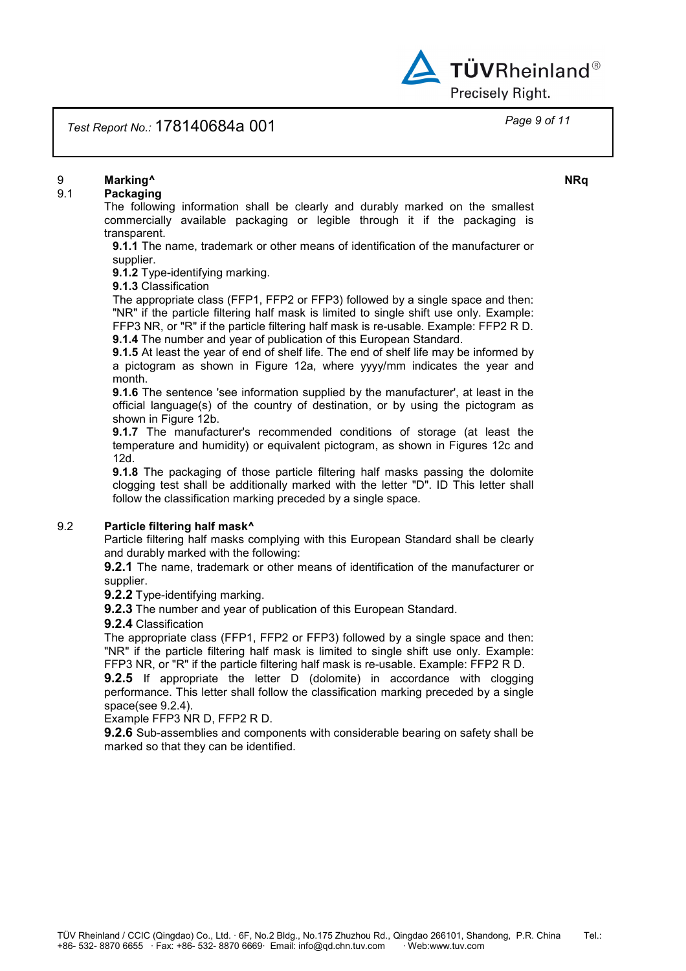

## *Test Report No.:* 178140684a 001 *Page 9 of 11*

## 9 **Marking^ NRq**

## 9.1 **Packaging**

The following information shall be clearly and durably marked on the smallest commercially available packaging or legible through it if the packaging is transparent.

**9.1.1** The name, trademark or other means of identification of the manufacturer or supplier.

**9.1.2** Type-identifying marking.

**9.1.3** Classification

The appropriate class (FFP1, FFP2 or FFP3) followed by a single space and then: "NR" if the particle filtering half mask is limited to single shift use only. Example: FFP3 NR, or "R" if the particle filtering half mask is re-usable. Example: FFP2 R D. **9.1.4** The number and year of publication of this European Standard.

**9.1.5** At least the year of end of shelf life. The end of shelf life may be informed by a pictogram as shown in Figure 12a, where yyyy/mm indicates the year and month.

**9.1.6** The sentence 'see information supplied by the manufacturer', at least in the official language(s) of the country of destination, or by using the pictogram as shown in Figure 12b.

**9.1.7** The manufacturer's recommended conditions of storage (at least the temperature and humidity) or equivalent pictogram, as shown in Figures 12c and 12d.

**9.1.8** The packaging of those particle filtering half masks passing the dolomite clogging test shall be additionally marked with the letter "D". ID This letter shall follow the classification marking preceded by a single space.

## 9.2 **Particle filtering half mask^**

Particle filtering half masks complying with this European Standard shall be clearly and durably marked with the following:

**9.2.1** The name, trademark or other means of identification of the manufacturer or supplier.

**9.2.2** Type-identifying marking.

**9.2.3** The number and year of publication of this European Standard.

**9.2.4** Classification

The appropriate class (FFP1, FFP2 or FFP3) followed by a single space and then: "NR" if the particle filtering half mask is limited to single shift use only. Example: FFP3 NR, or "R" if the particle filtering half mask is re-usable. Example: FFP2 R D.

**9.2.5** If appropriate the letter D (dolomite) in accordance with clogging performance. This letter shall follow the classification marking preceded by a single space(see 9.2.4).

Example FFP3 NR D, FFP2 R D.

**9.2.6** Sub-assemblies and components with considerable bearing on safety shall be marked so that they can be identified.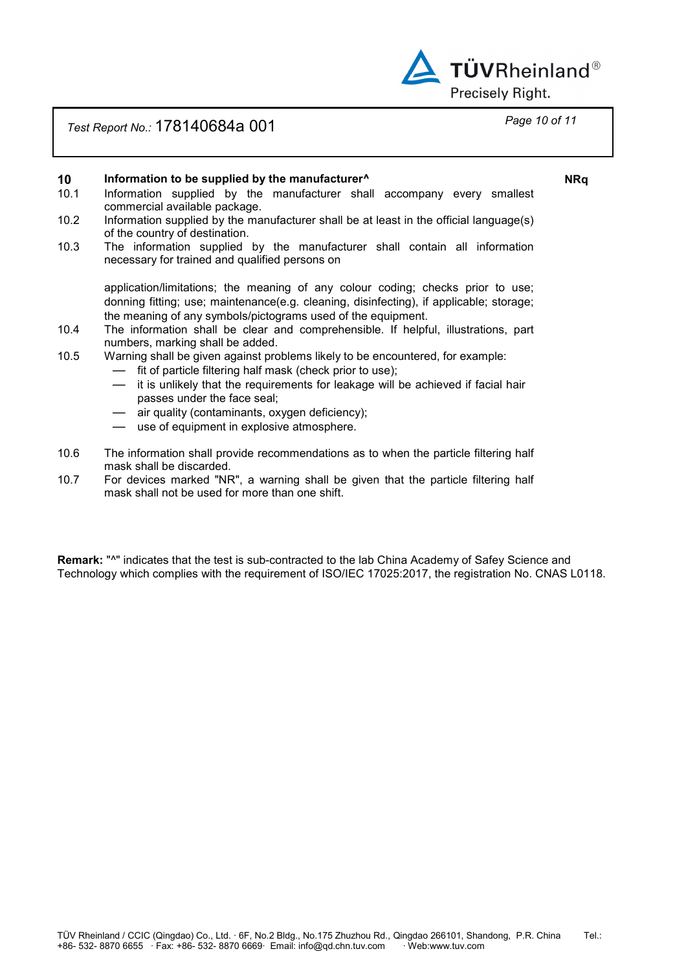

# *Test Report No.:* 178140684a 001 *Page 10 of 11*

## **10 Information to be supplied by the manufacturer^ NRq**

- 10.1 Information supplied by the manufacturer shall accompany every smallest commercial available package.
- 10.2 Information supplied by the manufacturer shall be at least in the official language(s) of the country of destination.
- 10.3 The information supplied by the manufacturer shall contain all information necessary for trained and qualified persons on

application/limitations; the meaning of any colour coding; checks prior to use; donning fitting; use; maintenance(e.g. cleaning, disinfecting), if applicable; storage; the meaning of any symbols/pictograms used of the equipment.

- 10.4 The information shall be clear and comprehensible. If helpful, illustrations, part numbers, marking shall be added.
- 10.5 Warning shall be given against problems likely to be encountered, for example:
	- fit of particle filtering half mask (check prior to use);
	- it is unlikely that the requirements for leakage will be achieved if facial hair passes under the face seal;
	- air quality (contaminants, oxygen deficiency);
	- use of equipment in explosive atmosphere.
- 10.6 The information shall provide recommendations as to when the particle filtering half mask shall be discarded.
- 10.7 For devices marked "NR", a warning shall be given that the particle filtering half mask shall not be used for more than one shift.

**Remark:** "^" indicates that the test is sub-contracted to the lab China Academy of Safey Science and Technology which complies with the requirement of ISO/IEC 17025:2017, the registration No. CNAS L0118.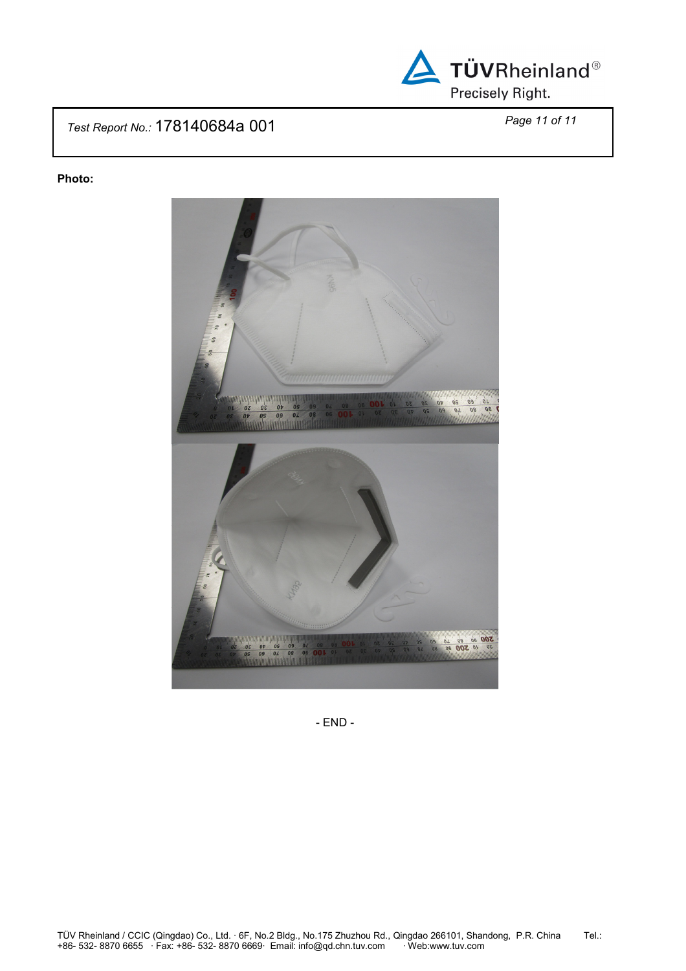

# *Test Report No.:* 178140684a 001 *Page 11 of 11*

## **Photo:**



- END -